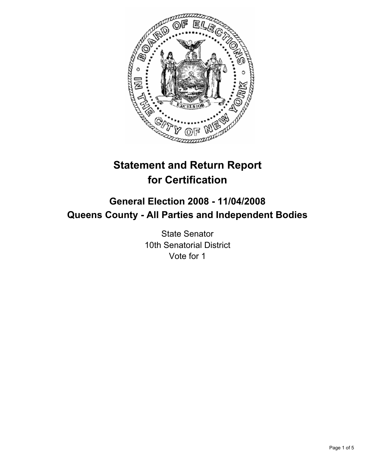

# **Statement and Return Report for Certification**

## **General Election 2008 - 11/04/2008 Queens County - All Parties and Independent Bodies**

State Senator 10th Senatorial District Vote for 1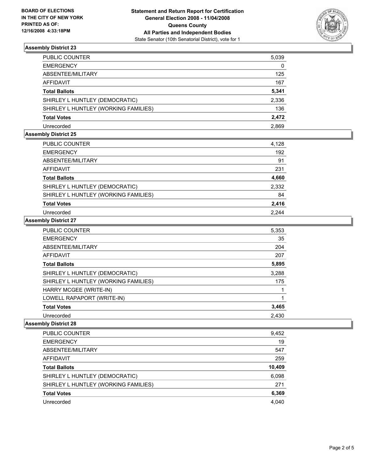

### **Assembly District 23**

| PUBLIC COUNTER                       | 5,039 |
|--------------------------------------|-------|
| EMERGENCY                            | 0     |
| ABSENTEE/MILITARY                    | 125   |
| AFFIDAVIT                            | 167   |
| Total Ballots                        | 5,341 |
| SHIRLEY L HUNTLEY (DEMOCRATIC)       | 2,336 |
| SHIRLEY L HUNTLEY (WORKING FAMILIES) | 136   |
| Total Votes                          | 2,472 |
| Unrecorded                           | 2.869 |

#### **Assembly District 25**

| <b>PUBLIC COUNTER</b>                | 4,128 |
|--------------------------------------|-------|
| <b>EMERGENCY</b>                     | 192   |
| ABSENTEE/MILITARY                    | 91    |
| AFFIDAVIT                            | 231   |
| <b>Total Ballots</b>                 | 4,660 |
| SHIRLEY L HUNTLEY (DEMOCRATIC)       | 2,332 |
| SHIRLEY L HUNTLEY (WORKING FAMILIES) | 84    |
| <b>Total Votes</b>                   | 2,416 |
| Unrecorded                           | 2.244 |

#### **Assembly District 27**

| <b>PUBLIC COUNTER</b>                | 5,353 |
|--------------------------------------|-------|
| <b>EMERGENCY</b>                     | 35    |
| ABSENTEE/MILITARY                    | 204   |
| AFFIDAVIT                            | 207   |
| <b>Total Ballots</b>                 | 5,895 |
| SHIRLEY L HUNTLEY (DEMOCRATIC)       | 3,288 |
| SHIRLEY L HUNTLEY (WORKING FAMILIES) | 175   |
| HARRY MCGEE (WRITE-IN)               |       |
| LOWELL RAPAPORT (WRITE-IN)           |       |
| <b>Total Votes</b>                   | 3,465 |
| Unrecorded                           | 2,430 |

### **Assembly District 28**

| <b>PUBLIC COUNTER</b>                | 9,452  |
|--------------------------------------|--------|
| <b>EMERGENCY</b>                     | 19     |
| ABSENTEE/MILITARY                    | 547    |
| AFFIDAVIT                            | 259    |
| <b>Total Ballots</b>                 | 10,409 |
| SHIRLEY L HUNTLEY (DEMOCRATIC)       | 6,098  |
| SHIRLEY L HUNTLEY (WORKING FAMILIES) | 271    |
| <b>Total Votes</b>                   | 6,369  |
| Unrecorded                           | 4,040  |
|                                      |        |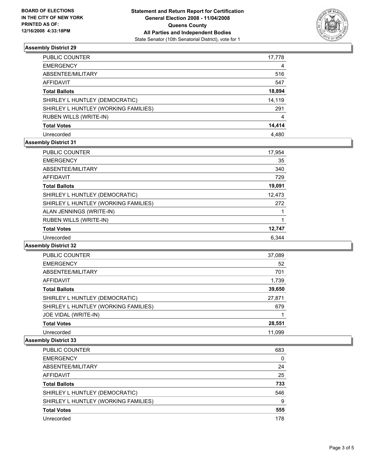

### **Assembly District 29**

| PUBLIC COUNTER                       | 17,778 |
|--------------------------------------|--------|
| <b>EMERGENCY</b>                     | 4      |
| ABSENTEE/MILITARY                    | 516    |
| <b>AFFIDAVIT</b>                     | 547    |
| <b>Total Ballots</b>                 | 18,894 |
| SHIRLEY L HUNTLEY (DEMOCRATIC)       | 14,119 |
| SHIRLEY L HUNTLEY (WORKING FAMILIES) | 291    |
| <b>RUBEN WILLS (WRITE-IN)</b>        | 4      |
| <b>Total Votes</b>                   | 14,414 |
| Unrecorded                           | 4.480  |

### **Assembly District 31**

| <b>PUBLIC COUNTER</b>                | 17,954 |
|--------------------------------------|--------|
| <b>EMERGENCY</b>                     | 35     |
| ABSENTEE/MILITARY                    | 340    |
| AFFIDAVIT                            | 729    |
| <b>Total Ballots</b>                 | 19,091 |
| SHIRLEY L HUNTLEY (DEMOCRATIC)       | 12,473 |
| SHIRLEY L HUNTLEY (WORKING FAMILIES) | 272    |
| ALAN JENNINGS (WRITE-IN)             |        |
| <b>RUBEN WILLS (WRITE-IN)</b>        |        |
| <b>Total Votes</b>                   | 12,747 |
| Unrecorded                           | 6.344  |

#### **Assembly District 32**

| PUBLIC COUNTER                       | 37,089 |  |
|--------------------------------------|--------|--|
| <b>EMERGENCY</b>                     | 52     |  |
| ABSENTEE/MILITARY                    | 701    |  |
| AFFIDAVIT                            | 1,739  |  |
| <b>Total Ballots</b>                 | 39,650 |  |
| SHIRLEY L HUNTLEY (DEMOCRATIC)       | 27,871 |  |
| SHIRLEY L HUNTLEY (WORKING FAMILIES) | 679    |  |
| JOE VIDAL (WRITE-IN)                 |        |  |
| <b>Total Votes</b>                   | 28,551 |  |
| Unrecorded                           | 11.099 |  |

#### **Assembly District 33**

| PUBLIC COUNTER                       | 683 |
|--------------------------------------|-----|
| <b>EMERGENCY</b>                     | 0   |
| ABSENTEE/MILITARY                    | 24  |
| <b>AFFIDAVIT</b>                     | 25  |
| <b>Total Ballots</b>                 | 733 |
| SHIRLEY L HUNTLEY (DEMOCRATIC)       | 546 |
| SHIRLEY L HUNTLEY (WORKING FAMILIES) | 9   |
| <b>Total Votes</b>                   | 555 |
| Unrecorded                           | 178 |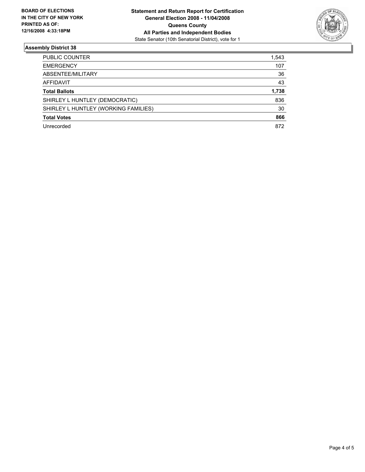

### **Assembly District 38**

| PUBLIC COUNTER                       | 1,543 |
|--------------------------------------|-------|
| <b>EMERGENCY</b>                     | 107   |
| ABSENTEE/MILITARY                    | 36    |
| <b>AFFIDAVIT</b>                     | 43    |
| <b>Total Ballots</b>                 | 1,738 |
| SHIRLEY L HUNTLEY (DEMOCRATIC)       | 836   |
| SHIRLEY L HUNTLEY (WORKING FAMILIES) | 30    |
| <b>Total Votes</b>                   | 866   |
| Unrecorded                           | 872   |
|                                      |       |